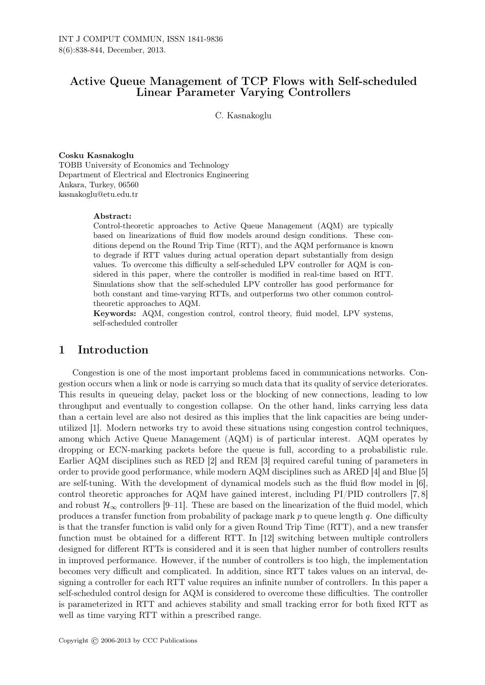## Active Queue Management of TCP Flows with Self-scheduled Linear Parameter Varying Controllers

C. Kasnakoglu

### Cosku Kasnakoglu

TOBB University of Economics and Technology Department of Electrical and Electronics Engineering Ankara, Turkey, 06560 kasnakoglu@etu.edu.tr

#### Abstract:

Control-theoretic approaches to Active Queue Management (AQM) are typically based on linearizations of fluid flow models around design conditions. These conditions depend on the Round Trip Time (RTT), and the AQM performance is known to degrade if RTT values during actual operation depart substantially from design values. To overcome this difficulty a self-scheduled LPV controller for AQM is considered in this paper, where the controller is modified in real-time based on RTT. Simulations show that the self-scheduled LPV controller has good performance for both constant and time-varying RTTs, and outperforms two other common controltheoretic approaches to AQM.

Keywords: AQM, congestion control, control theory, fluid model, LPV systems, self-scheduled controller

### 1 Introduction

Congestion is one of the most important problems faced in communications networks. Congestion occurs when a link or node is carrying so much data that its quality of service deteriorates. This results in queueing delay, packet loss or the blocking of new connections, leading to low throughput and eventually to congestion collapse. On the other hand, links carrying less data than a certain level are also not desired as this implies that the link capacities are being underutilized [1]. Modern networks try to avoid these situations using congestion control techniques, among which Active Queue Management (AQM) is of particular interest. AQM operates by dropping or ECN-marking packets before the queue is full, according to a probabilistic rule. Earlier AQM disciplines such as RED [2] and REM [3] required careful tuning of parameters in order to provide good performance, while modern AQM disciplines such as ARED [4] and Blue [5] are self-tuning. With the development of dynamical models such as the fluid flow model in [6], control theoretic approaches for AQM have gained interest, including PI/PID controllers [7, 8] and robust  $\mathcal{H}_{\infty}$  controllers [9–11]. These are based on the linearization of the fluid model, which produces a transfer function from probability of package mark *p* to queue length *q*. One difficulty is that the transfer function is valid only for a given Round Trip Time (RTT), and a new transfer function must be obtained for a different RTT. In [12] switching between multiple controllers designed for different RTTs is considered and it is seen that higher number of controllers results in improved performance. However, if the number of controllers is too high, the implementation becomes very difficult and complicated. In addition, since RTT takes values on an interval, designing a controller for each RTT value requires an infinite number of controllers. In this paper a self-scheduled control design for AQM is considered to overcome these difficulties. The controller is parameterized in RTT and achieves stability and small tracking error for both fixed RTT as well as time varying RTT within a prescribed range.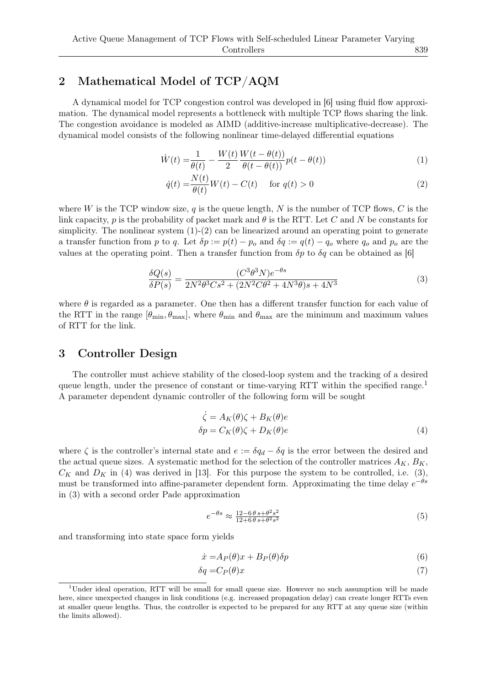# 2 Mathematical Model of TCP/AQM

A dynamical model for TCP congestion control was developed in [6] using fluid flow approximation. The dynamical model represents a bottleneck with multiple TCP flows sharing the link. The congestion avoidance is modeled as AIMD (additive-increase multiplicative-decrease). The dynamical model consists of the following nonlinear time-delayed differential equations

$$
\dot{W}(t) = \frac{1}{\theta(t)} - \frac{W(t)}{2} \frac{W(t - \theta(t))}{\theta(t - \theta(t))} p(t - \theta(t))
$$
\n(1)

$$
\dot{q}(t) = \frac{N(t)}{\theta(t)}W(t) - C(t) \quad \text{for } q(t) > 0
$$
\n(2)

where *W* is the TCP window size, *q* is the queue length, *N* is the number of TCP flows, *C* is the link capacity,  $p$  is the probability of packet mark and  $\theta$  is the RTT. Let *C* and *N* be constants for simplicity. The nonlinear system  $(1)-(2)$  can be linearized around an operating point to generate a transfer function from *p* to *q*. Let  $\delta p := p(t) - p_o$  and  $\delta q := q(t) - q_o$  where  $q_o$  and  $p_o$  are the values at the operating point. Then a transfer function from  $\delta p$  to  $\delta q$  can be obtained as [6]

$$
\frac{\delta Q(s)}{\delta P(s)} = \frac{(C^3 \theta^3 N)e^{-\theta s}}{2N^2 \theta^3 C s^2 + (2N^2 C \theta^2 + 4N^3 \theta)s + 4N^3}
$$
(3)

where  $\theta$  is regarded as a parameter. One then has a different transfer function for each value of the RTT in the range  $[\theta_{\min}, \theta_{\max}]$ , where  $\theta_{\min}$  and  $\theta_{\max}$  are the minimum and maximum values of RTT for the link.

### 3 Controller Design

The controller must achieve stability of the closed-loop system and the tracking of a desired queue length, under the presence of constant or time-varying RTT within the specified range.<sup>1</sup> A parameter dependent dynamic controller of the following form will be sought

$$
\dot{\zeta} = A_K(\theta)\zeta + B_K(\theta)e
$$
  
\n
$$
\delta p = C_K(\theta)\zeta + D_K(\theta)e
$$
\n(4)

where  $\zeta$  is the controller's internal state and  $e := \delta q_d - \delta q$  is the error between the desired and the actual queue sizes. A systematic method for the selection of the controller matrices  $A_K$ ,  $B_K$ ,  $C_K$  and  $D_K$  in (4) was derived in [13]. For this purpose the system to be controlled, i.e. (3), must be transformed into affine-parameter dependent form. Approximating the time delay *e −θs* in (3) with a second order Pade approximation

$$
e^{-\theta s} \approx \frac{12 - 6\theta s + \theta^2 s^2}{12 + 6\theta s + \theta^2 s^2} \tag{5}
$$

and transforming into state space form yields

$$
\dot{x} = A_P(\theta)x + B_P(\theta)\delta p\tag{6}
$$

$$
\delta q = C_P(\theta)x\tag{7}
$$

<sup>&</sup>lt;sup>1</sup>Under ideal operation, RTT will be small for small queue size. However no such assumption will be made here, since unexpected changes in link conditions (e.g. increased propagation delay) can create longer RTTs even at smaller queue lengths. Thus, the controller is expected to be prepared for any RTT at any queue size (within the limits allowed).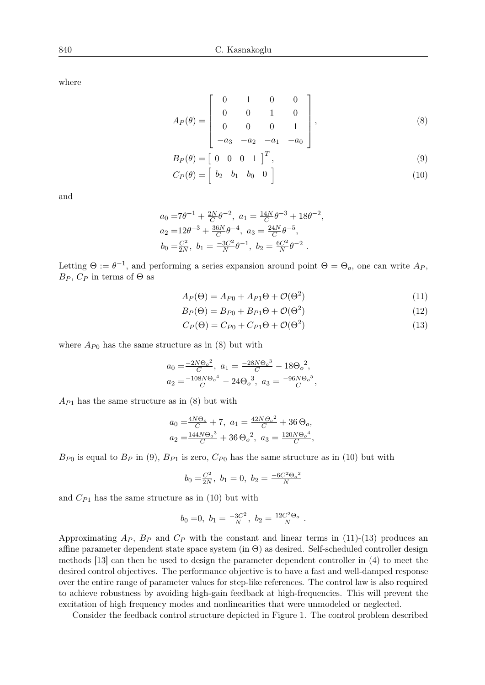where

$$
A_P(\theta) = \begin{bmatrix} 0 & 1 & 0 & 0 \\ 0 & 0 & 1 & 0 \\ 0 & 0 & 0 & 1 \\ -a_3 & -a_2 & -a_1 & -a_0 \end{bmatrix},
$$
 (8)

$$
B_P(\theta) = \begin{bmatrix} 0 & 0 & 0 & 1 \end{bmatrix}^T,
$$
\n(9)

$$
C_P(\theta) = \left[ \begin{array}{cccc} b_2 & b_1 & b_0 & 0 \end{array} \right] \tag{10}
$$

and

$$
a_0 = 7\theta^{-1} + \frac{2N}{C}\theta^{-2}, \ a_1 = \frac{14N}{C}\theta^{-3} + 18\theta^{-2},
$$
  
\n
$$
a_2 = 12\theta^{-3} + \frac{36N}{C}\theta^{-4}, \ a_3 = \frac{24N}{C}\theta^{-5},
$$
  
\n
$$
b_0 = \frac{C^2}{2N}, \ b_1 = \frac{-3C^2}{N}\theta^{-1}, \ b_2 = \frac{6C^2}{N}\theta^{-2}.
$$

Letting  $\Theta := \theta^{-1}$ , and performing a series expansion around point  $\Theta = \Theta_o$ , one can write  $A_P$ , *B*<sup>*P*</sup>,  $C_P$  in terms of Θ as

$$
A_P(\Theta) = A_{P0} + A_{P1}\Theta + \mathcal{O}(\Theta^2)
$$
\n(11)

$$
B_P(\Theta) = B_{P0} + B_{P1}\Theta + \mathcal{O}(\Theta^2)
$$
\n(12)

$$
C_P(\Theta) = C_{P0} + C_{P1}\Theta + \mathcal{O}(\Theta^2)
$$
\n(13)

where  $A_{P0}$  has the same structure as in (8) but with

$$
a_0 = \frac{-2N\Theta_o^2}{C}, \ a_1 = \frac{-28N\Theta_o^3}{C} - 18\Theta_o^2,
$$
  

$$
a_2 = \frac{-108N\Theta_o^4}{C} - 24\Theta_o^3, \ a_3 = \frac{-96N\Theta_o^5}{C},
$$

*AP*<sup>1</sup> has the same structure as in (8) but with

$$
a_0 = \frac{4N\Theta_o}{C} + 7, \ a_1 = \frac{42N\Theta_o^2}{C} + 36\Theta_o, a_2 = \frac{144N\Theta_o^3}{C} + 36\Theta_o^2, \ a_3 = \frac{120N\Theta_o^4}{C},
$$

 $B_{P0}$  is equal to  $B_P$  in (9),  $B_{P1}$  is zero,  $C_{P0}$  has the same structure as in (10) but with

$$
b_0=\!\frac{C^2}{2N},\ b_1=0,\ b_2=\tfrac{-6C^2{\Theta_o}^2}{N}
$$

and  $C_{P1}$  has the same structure as in  $(10)$  but with

$$
b_0 = 0, b_1 = \frac{-3C^2}{N}, b_2 = \frac{12C^2\Theta_o}{N}.
$$

Approximating  $A_P$ ,  $B_P$  and  $C_P$  with the constant and linear terms in (11)-(13) produces an affine parameter dependent state space system (in  $\Theta$ ) as desired. Self-scheduled controller design methods [13] can then be used to design the parameter dependent controller in (4) to meet the desired control objectives. The performance objective is to have a fast and well-damped response over the entire range of parameter values for step-like references. The control law is also required to achieve robustness by avoiding high-gain feedback at high-frequencies. This will prevent the excitation of high frequency modes and nonlinearities that were unmodeled or neglected.

Consider the feedback control structure depicted in Figure 1. The control problem described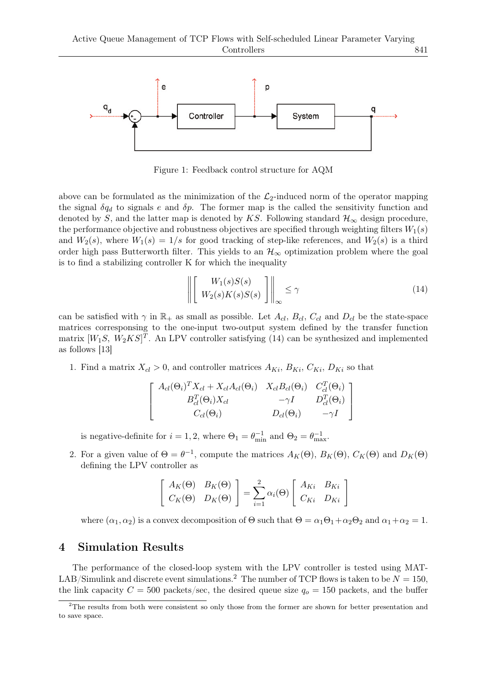

Figure 1: Feedback control structure for AQM

above can be formulated as the minimization of the  $\mathcal{L}_2$ -induced norm of the operator mapping the signal  $\delta q_d$  to signals *e* and  $\delta p$ . The former map is the called the sensitivity function and denoted by *S*, and the latter map is denoted by *KS*. Following standard  $\mathcal{H}_{\infty}$  design procedure, the performance objective and robustness objectives are specified through weighting filters  $W_1(s)$ and  $W_2(s)$ , where  $W_1(s) = 1/s$  for good tracking of step-like references, and  $W_2(s)$  is a third order high pass Butterworth filter. This yields to an  $\mathcal{H}_{\infty}$  optimization problem where the goal is to find a stabilizing controller K for which the inequality

$$
\left\| \begin{bmatrix} W_1(s)S(s) \\ W_2(s)K(s)S(s) \end{bmatrix} \right\|_{\infty} \le \gamma
$$
\n(14)

can be satisfied with  $\gamma$  in  $\mathbb{R}_+$  as small as possible. Let  $A_{cl}$ ,  $B_{cl}$ ,  $C_{cl}$  and  $D_{cl}$  be the state-space matrices corresponsing to the one-input two-output system defined by the transfer function matrix  $[W_1S, W_2KS]^T$ . An LPV controller satisfying (14) can be synthesized and implemented as follows [13]

1. Find a matrix  $X_{cl} > 0$ , and controller matrices  $A_{Ki}$ ,  $B_{Ki}$ ,  $C_{Ki}$ ,  $D_{Ki}$  so that

$$
\begin{bmatrix}\nA_{cl}(\Theta_i)^T X_{cl} + X_{cl} A_{cl}(\Theta_i) & X_{cl} B_{cl}(\Theta_i) & C_{cl}^T(\Theta_i) \\
B_{cl}^T(\Theta_i) X_{cl} & -\gamma I & D_{cl}^T(\Theta_i) \\
C_{cl}(\Theta_i) & D_{cl}(\Theta_i) & -\gamma I\n\end{bmatrix}
$$

is negative-definite for  $i = 1, 2$ , where  $\Theta_1 = \theta_{\min}^{-1}$  and  $\Theta_2 = \theta_{\max}^{-1}$ .

2. For a given value of  $\Theta = \theta^{-1}$ , compute the matrices  $A_K(\Theta)$ ,  $B_K(\Theta)$ ,  $C_K(\Theta)$  and  $D_K(\Theta)$ defining the LPV controller as

$$
\left[\begin{array}{cc} A_K(\Theta) & B_K(\Theta) \\ C_K(\Theta) & D_K(\Theta) \end{array}\right] = \sum_{i=1}^2 \alpha_i(\Theta) \left[\begin{array}{cc} A_{Ki} & B_{Ki} \\ C_{Ki} & D_{Ki} \end{array}\right]
$$

where  $(\alpha_1, \alpha_2)$  is a convex decomposition of  $\Theta$  such that  $\Theta = \alpha_1 \Theta_1 + \alpha_2 \Theta_2$  and  $\alpha_1 + \alpha_2 = 1$ .

## 4 Simulation Results

The performance of the closed-loop system with the LPV controller is tested using MAT-LAB/Simulink and discrete event simulations.<sup>2</sup> The number of TCP flows is taken to be  $N = 150$ , the link capacity  $C = 500$  packets/sec, the desired queue size  $q<sub>o</sub> = 150$  packets, and the buffer

<sup>&</sup>lt;sup>2</sup>The results from both were consistent so only those from the former are shown for better presentation and to save space.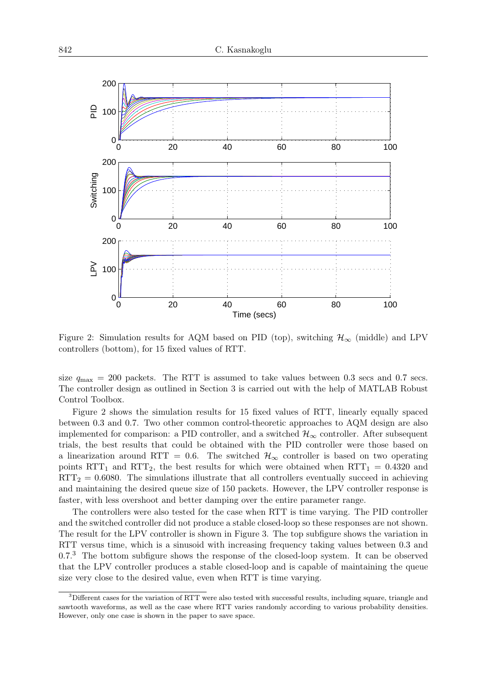

Figure 2: Simulation results for AQM based on PID (top), switching  $\mathcal{H}_{\infty}$  (middle) and LPV controllers (bottom), for 15 fixed values of RTT.

size  $q_{\text{max}} = 200$  packets. The RTT is assumed to take values between 0.3 secs and 0.7 secs. The controller design as outlined in Section 3 is carried out with the help of MATLAB Robust Control Toolbox.

Figure 2 shows the simulation results for 15 fixed values of RTT, linearly equally spaced between 0*.*3 and 0*.*7. Two other common control-theoretic approaches to AQM design are also implemented for comparison: a PID controller, and a switched  $\mathcal{H}_{\infty}$  controller. After subsequent trials, the best results that could be obtained with the PID controller were those based on a linearization around RTT = 0.6. The switched  $\mathcal{H}_{\infty}$  controller is based on two operating points RTT<sub>1</sub> and RTT<sub>2</sub>, the best results for which were obtained when RTT<sub>1</sub> = 0.4320 and  $RTT<sub>2</sub> = 0.6080$ . The simulations illustrate that all controllers eventually succeed in achieving and maintaining the desired queue size of 150 packets. However, the LPV controller response is faster, with less overshoot and better damping over the entire parameter range.

The controllers were also tested for the case when RTT is time varying. The PID controller and the switched controller did not produce a stable closed-loop so these responses are not shown. The result for the LPV controller is shown in Figure 3. The top subfigure shows the variation in RTT versus time, which is a sinusoid with increasing frequency taking values between 0*.*3 and 0.7.<sup>3</sup> The bottom subfigure shows the response of the closed-loop system. It can be observed that the LPV controller produces a stable closed-loop and is capable of maintaining the queue size very close to the desired value, even when RTT is time varying.

<sup>&</sup>lt;sup>3</sup>Different cases for the variation of RTT were also tested with successful results, including square, triangle and sawtooth waveforms, as well as the case where RTT varies randomly according to various probability densities. However, only one case is shown in the paper to save space.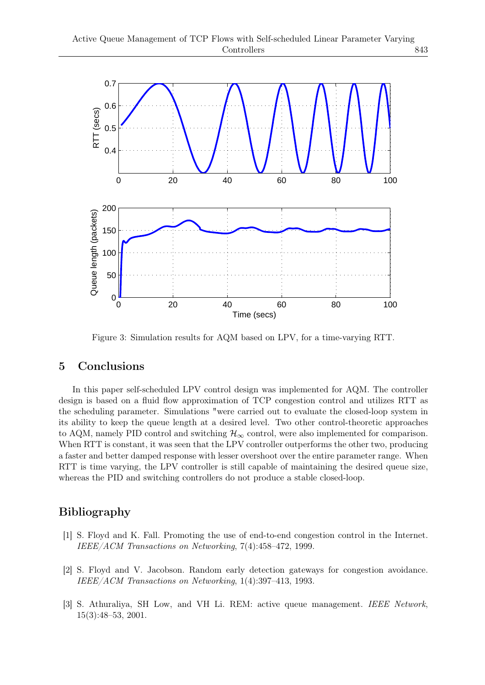

Figure 3: Simulation results for AQM based on LPV, for a time-varying RTT.

### 5 Conclusions

In this paper self-scheduled LPV control design was implemented for AQM. The controller design is based on a fluid flow approximation of TCP congestion control and utilizes RTT as the scheduling parameter. Simulations "were carried out to evaluate the closed-loop system in its ability to keep the queue length at a desired level. Two other control-theoretic approaches to AQM, namely PID control and switching  $\mathcal{H}_{\infty}$  control, were also implemented for comparison. When RTT is constant, it was seen that the LPV controller outperforms the other two, producing a faster and better damped response with lesser overshoot over the entire parameter range. When RTT is time varying, the LPV controller is still capable of maintaining the desired queue size, whereas the PID and switching controllers do not produce a stable closed-loop.

# Bibliography

- [1] S. Floyd and K. Fall. Promoting the use of end-to-end congestion control in the Internet. *IEEE/ACM Transactions on Networking*, 7(4):458–472, 1999.
- [2] S. Floyd and V. Jacobson. Random early detection gateways for congestion avoidance. *IEEE/ACM Transactions on Networking*, 1(4):397–413, 1993.
- [3] S. Athuraliya, SH Low, and VH Li. REM: active queue management. *IEEE Network*, 15(3):48–53, 2001.